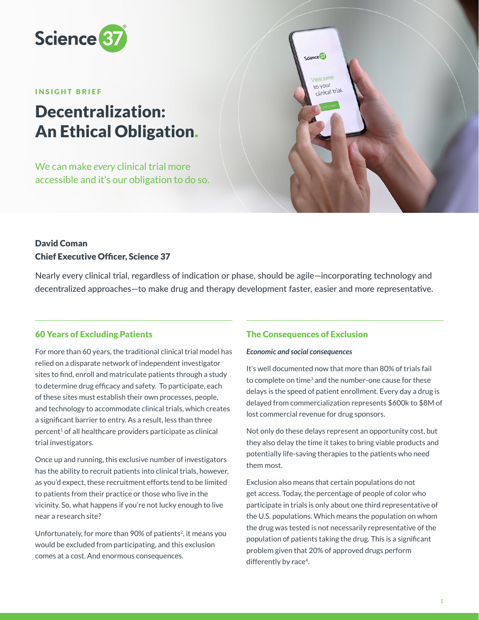

#### INSIGHT BRIEF

# Decentralization: An Ethical Obligation.

We can make *every* clinical trial more accessible and it's our obligation to do so.



## David Coman Chief Executive Officer, Science 37

Nearly every clinical trial, regardless of indication or phase, should be agile—incorporating technology and decentralized approaches—to make drug and therapy development faster, easier and more representative.

## 60 Years of Excluding Patients

For more than 60 years, the traditional clinical trial model has relied on a disparate network of independent investigator sites to find, enroll and matriculate patients through a study to determine drug efficacy and safety. To participate, each of these sites must establish their own processes, people, and technology to accommodate clinical trials, which creates a significant barrier to entry. As a result, less than three  $percent<sup>1</sup>$  of all healthcare providers participate as clinical trial investigators.

Once up and running, this exclusive number of investigators has the ability to recruit patients into clinical trials, however, as you'd expect, these recruitment efforts tend to be limited to patients from their practice or those who live in the vicinity. So, what happens if you're not lucky enough to live near a research site?

Unfortunately, for more than 90% of patients<sup>2</sup>, it means you would be excluded from participating, and this exclusion comes at a cost. And enormous consequences.

## The Consequences of Exclusion

#### *Economic and social consequences*

It's well documented now that more than 80% of trials fail to complete on time<sup>3</sup> and the number-one cause for these delays is the speed of patient enrollment. Every day a drug is delayed from commercialization represents \$600k to \$8M of lost commercial revenue for drug sponsors.

Not only do these delays represent an opportunity cost, but they also delay the time it takes to bring viable products and potentially life-saving therapies to the patients who need them most.

Exclusion also means that certain populations do not get access. Today, the percentage of people of color who participate in trials is only about one third representative of the U.S. populations. Which means the population on whom the drug was tested is not necessarily representative of the population of patients taking the drug. This is a significant problem given that 20% of approved drugs perform differently by race<sup>4</sup>.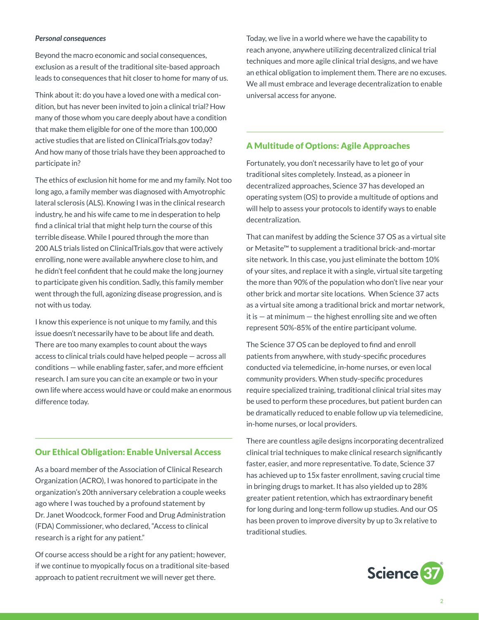#### *Personal consequences*

Beyond the macro economic and social consequences, exclusion as a result of the traditional site-based approach leads to consequences that hit closer to home for many of us.

Think about it: do you have a loved one with a medical condition, but has never been invited to join a clinical trial? How many of those whom you care deeply about have a condition that make them eligible for one of the more than 100,000 active studies that are listed on ClinicalTrials.gov today? And how many of those trials have they been approached to participate in?

The ethics of exclusion hit home for me and my family. Not too long ago, a family member was diagnosed with Amyotrophic lateral sclerosis (ALS). Knowing I was in the clinical research industry, he and his wife came to me in desperation to help find a clinical trial that might help turn the course of this terrible disease. While I poured through the more than 200 ALS trials listed on ClinicalTrials.gov that were actively enrolling, none were available anywhere close to him, and he didn't feel confident that he could make the long journey to participate given his condition. Sadly, this family member went through the full, agonizing disease progression, and is not with us today.

I know this experience is not unique to my family, and this issue doesn't necessarily have to be about life and death. There are too many examples to count about the ways access to clinical trials could have helped people — across all conditions — while enabling faster, safer, and more efficient research. I am sure you can cite an example or two in your own life where access would have or could make an enormous difference today.

## Our Ethical Obligation: Enable Universal Access

As a board member of the Association of Clinical Research Organization (ACRO), I was honored to participate in the organization's 20th anniversary celebration a couple weeks ago where I was touched by a profound statement by Dr. Janet Woodcock, former Food and Drug Administration (FDA) Commissioner, who declared, "Access to clinical research is a right for any patient."

Of course access should be a right for any patient; however, if we continue to myopically focus on a traditional site-based approach to patient recruitment we will never get there.

Today, we live in a world where we have the capability to reach anyone, anywhere utilizing decentralized clinical trial techniques and more agile clinical trial designs, and we have an ethical obligation to implement them. There are no excuses. We all must embrace and leverage decentralization to enable universal access for anyone.

## A Multitude of Options: Agile Approaches

Fortunately, you don't necessarily have to let go of your traditional sites completely. Instead, as a pioneer in decentralized approaches, Science 37 has developed an operating system (OS) to provide a multitude of options and will help to assess your protocols to identify ways to enable decentralization.

That can manifest by adding the Science 37 OS as a virtual site or Metasite™ to supplement a traditional brick-and-mortar site network. In this case, you just eliminate the bottom 10% of your sites, and replace it with a single, virtual site targeting the more than 90% of the population who don't live near your other brick and mortar site locations. When Science 37 acts as a virtual site among a traditional brick and mortar network, it is  $-$  at minimum  $-$  the highest enrolling site and we often represent 50%-85% of the entire participant volume.

The Science 37 OS can be deployed to find and enroll patients from anywhere, with study-specific procedures conducted via telemedicine, in-home nurses, or even local community providers. When study-specific procedures require specialized training, traditional clinical trial sites may be used to perform these procedures, but patient burden can be dramatically reduced to enable follow up via telemedicine, in-home nurses, or local providers.

There are countless agile designs incorporating decentralized clinical trial techniques to make clinical research significantly faster, easier, and more representative. To date, Science 37 has achieved up to 15x faster enrollment, saving crucial time in bringing drugs to market. It has also yielded up to 28% greater patient retention, which has extraordinary benefit for long during and long-term follow up studies. And our OS has been proven to improve diversity by up to 3x relative to traditional studies.